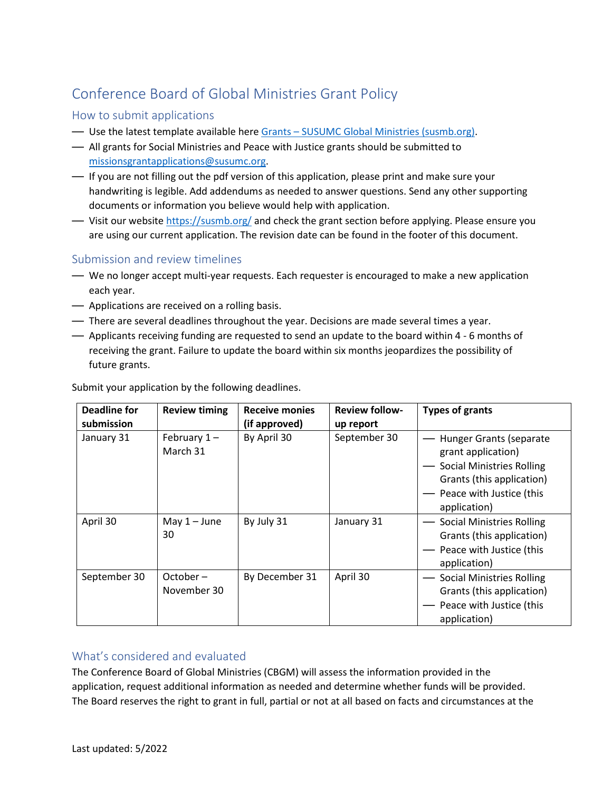# Conference Board of Global Ministries Grant Policy

## How to submit applications

- Use the latest template available here Grants [SUSUMC Global Ministries \(susmb.org\).](https://susmb.org/grants/)
- All grants for Social Ministries and Peace with Justice grants should be submitted to [missionsgrantapplications@susumc.org.](mailto:missionsgrantapplications@susumc.org)
- If you are not filling out the pdf version of this application, please print and make sure your handwriting is legible. Add addendums as needed to answer questions. Send any other supporting documents or information you believe would help with application.
- Visit our website<https://susmb.org/> and check the grant section before applying. Please ensure you are using our current application. The revision date can be found in the footer of this document.

### Submission and review timelines

- We no longer accept multi-year requests. Each requester is encouraged to make a new application each year.
- Applications are received on a rolling basis.
- There are several deadlines throughout the year. Decisions are made several times a year.
- Applicants receiving funding are requested to send an update to the board within 4 6 months of receiving the grant. Failure to update the board within six months jeopardizes the possibility of future grants.

| <b>Deadline for</b><br>submission | <b>Review timing</b>       | <b>Receive monies</b><br>(if approved) | <b>Review follow-</b><br>up report | <b>Types of grants</b>                                                                                                                                     |
|-----------------------------------|----------------------------|----------------------------------------|------------------------------------|------------------------------------------------------------------------------------------------------------------------------------------------------------|
| January 31                        | February $1 -$<br>March 31 | By April 30                            | September 30                       | Hunger Grants (separate<br>grant application)<br><b>Social Ministries Rolling</b><br>Grants (this application)<br>Peace with Justice (this<br>application) |
| April 30                          | May $1 -$ June<br>30       | By July 31                             | January 31                         | <b>Social Ministries Rolling</b><br>Grants (this application)<br>Peace with Justice (this<br>application)                                                  |
| September 30                      | October –<br>November 30   | By December 31                         | April 30                           | <b>Social Ministries Rolling</b><br>Grants (this application)<br>Peace with Justice (this<br>application)                                                  |

Submit your application by the following deadlines.

### What's considered and evaluated

The Conference Board of Global Ministries (CBGM) will assess the information provided in the application, request additional information as needed and determine whether funds will be provided. The Board reserves the right to grant in full, partial or not at all based on facts and circumstances at the